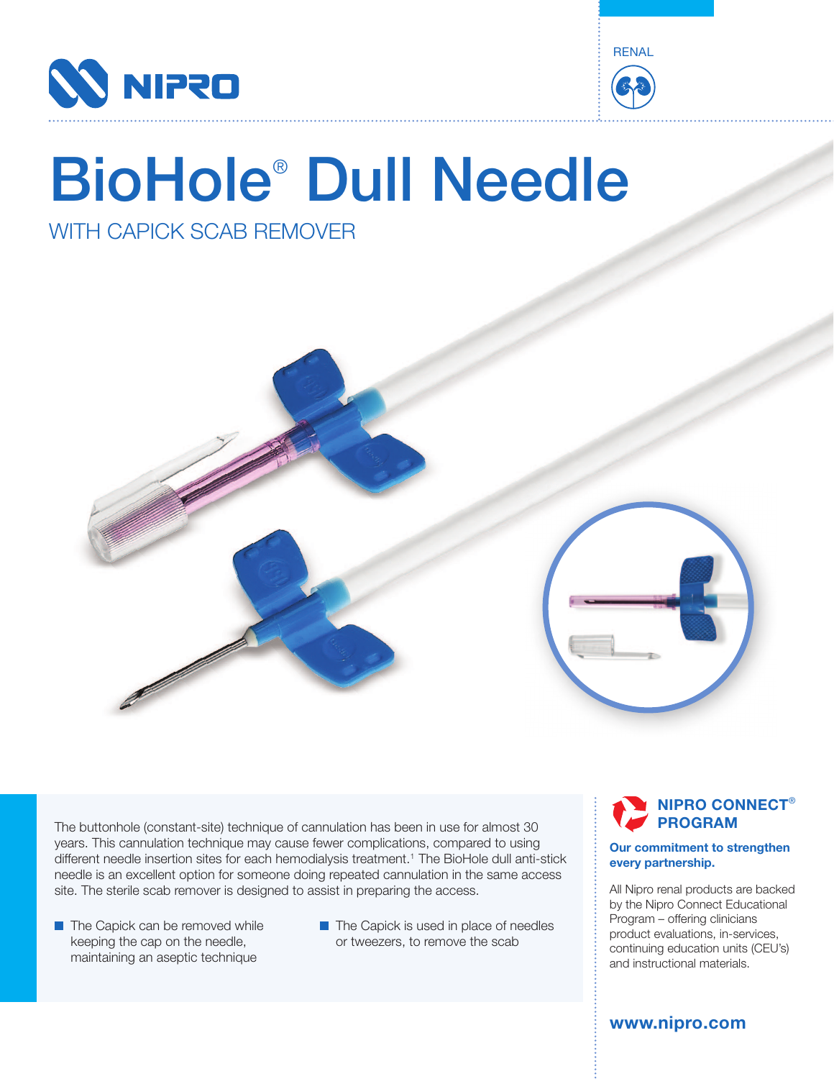



# BioHole® Dull Needle

# WITH CAPICK SCAB REMOVER



The buttonhole (constant-site) technique of cannulation has been in use for almost 30 years. This cannulation technique may cause fewer complications, compared to using different needle insertion sites for each hemodialysis treatment.1 The BioHole dull anti-stick needle is an excellent option for someone doing repeated cannulation in the same access site. The sterile scab remover is designed to assist in preparing the access.

- **The Capick can be removed while** keeping the cap on the needle, maintaining an aseptic technique
- $\blacksquare$  The Capick is used in place of needles or tweezers, to remove the scab

### **NIPRO CONNECT**® **PROGRAM**

#### **Our commitment to strengthen every partnership.**

All Nipro renal products are backed by the Nipro Connect Educational Program – offering clinicians product evaluations, in-services, continuing education units (CEU's) and instructional materials.

**www.nipro.com**